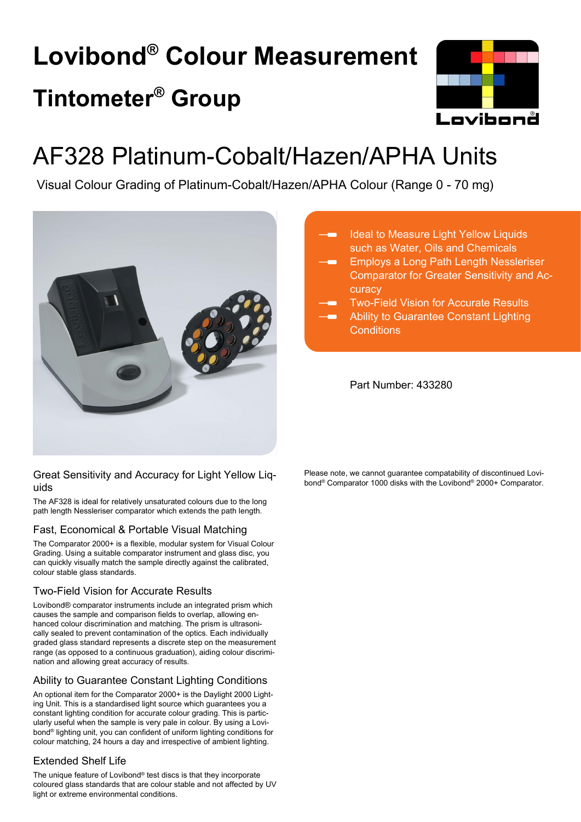# **Lovibond® Colour Measurement Tintometer® Group**



## AF328 Platinum-Cobalt/Hazen/APHA Units

Visual Colour Grading of Platinum-Cobalt/Hazen/APHA Colour (Range 0 - 70 mg)



#### Great Sensitivity and Accuracy for Light Yellow Liquids

The AF328 is ideal for relatively unsaturated colours due to the long path length Nessleriser comparator which extends the path length.

#### Fast, Economical & Portable Visual Matching

The Comparator 2000+ is a flexible, modular system for Visual Colour Grading. Using a suitable comparator instrument and glass disc, you can quickly visually match the sample directly against the calibrated, colour stable glass standards.

#### Two-Field Vision for Accurate Results

Lovibond® comparator instruments include an integrated prism which causes the sample and comparison fields to overlap, allowing enhanced colour discrimination and matching. The prism is ultrasonically sealed to prevent contamination of the optics. Each individually graded glass standard represents a discrete step on the measurement range (as opposed to a continuous graduation), aiding colour discrimination and allowing great accuracy of results.

#### Ability to Guarantee Constant Lighting Conditions

An optional item for the Comparator 2000+ is the Daylight 2000 Lighting Unit. This is a standardised light source which guarantees you a constant lighting condition for accurate colour grading. This is particularly useful when the sample is very pale in colour. By using a Lovibond® lighting unit, you can confident of uniform lighting conditions for colour matching, 24 hours a day and irrespective of ambient lighting.

#### Extended Shelf Life

The unique feature of Lovibond® test discs is that they incorporate coloured glass standards that are colour stable and not affected by UV light or extreme environmental conditions.

- Ideal to Measure Light Yellow Liquids such as Water, Oils and Chemicals
- Employs a Long Path Length Nessleriser Comparator for Greater Sensitivity and Accuracy
- Two-Field Vision for Accurate Results
- Ability to Guarantee Constant Lighting **Conditions**

Part Number: 433280

Please note, we cannot guarantee compatability of discontinued Lovibond® Comparator 1000 disks with the Lovibond® 2000+ Comparator.